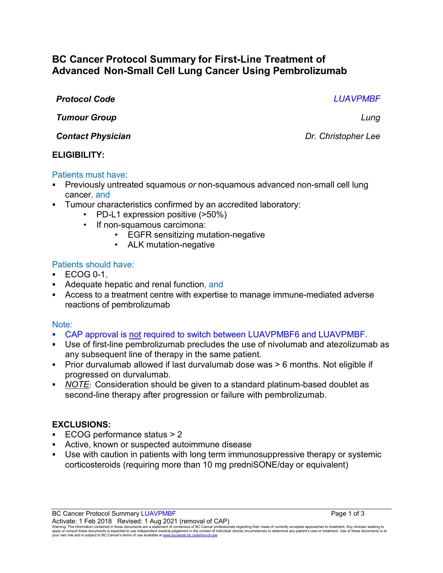# **BC Cancer Protocol Summary for First-Line Treatment of Advanced Non-Small Cell Lung Cancer Using Pembrolizumab**

### *Protocol Code LUAVPMBF*

*Tumour Group Lung*

*Contact Physician Dr.**Christopher Lee* 

### **ELIGIBILITY:**

### Patients must have:

- Previously untreated squamous *or* non-squamous advanced non-small cell lung cancer, and
- Tumour characteristics confirmed by an accredited laboratory:
	- PD-L1 expression positive (>50%)
	- If non-squamous carcimona:
		- EGFR sensitizing mutation-negative
			- ALK mutation-negative

### Patients should have:

- ECOG 0-1,
- Adequate hepatic and renal function, and
- Access to a treatment centre with expertise to manage immune-mediated adverse reactions of pembrolizumab

#### Note:

- CAP approval is not required to switch between LUAVPMBF6 and LUAVPMBF.
- Use of first-line pembrolizumab precludes the use of nivolumab and atezolizumab as any subsequent line of therapy in the same patient.
- Prior durvalumab allowed if last durvalumab dose was > 6 months. Not eligible if progressed on durvalumab.
- *NOTE*: Consideration should be given to a standard platinum-based doublet as second-line therapy after progression or failure with pembrolizumab.

#### **EXCLUSIONS:**

- ECOG performance status > 2
- Active, known or suspected autoimmune disease
- Use with caution in patients with long term immunosuppressive therapy or systemic corticosteroids (requiring more than 10 mg predniSONE/day or equivalent)

Warning: The information contained in these documents are a statement of consensus of BC Cancer professionals regarding their views of currently accepted approaches to treatment. Any clinician seeking to<br>apply or consult t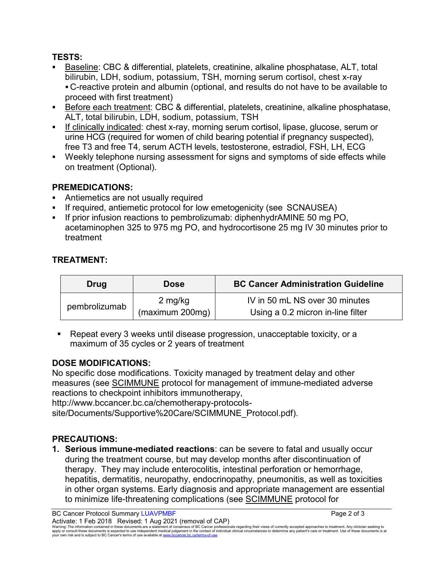# **TESTS:**

- Baseline: CBC & differential, platelets, creatinine, alkaline phosphatase, ALT, total bilirubin, LDH, sodium, potassium, TSH, morning serum cortisol, chest x-ray C-reactive protein and albumin (optional, and results do not have to be available to proceed with first treatment)
- Before each treatment: CBC & differential, platelets, creatinine, alkaline phosphatase, ALT, total bilirubin, LDH, sodium, potassium, TSH
- If clinically indicated: chest x-ray, morning serum cortisol, lipase, glucose, serum or urine HCG (required for women of child bearing potential if pregnancy suspected), free T3 and free T4, serum ACTH levels, testosterone, estradiol, FSH, LH, ECG
- Weekly telephone nursing assessment for signs and symptoms of side effects while on treatment (Optional).

# **PREMEDICATIONS:**

- Antiemetics are not usually required
- If required, antiemetic protocol for low emetogenicity (see SCNAUSEA)
- If prior infusion reactions to pembrolizumab: diphenhydrAMINE 50 mg PO, acetaminophen 325 to 975 mg PO, and hydrocortisone 25 mg IV 30 minutes prior to treatment

# **TREATMENT:**

| Drug          | <b>Dose</b>     | <b>BC Cancer Administration Guideline</b> |
|---------------|-----------------|-------------------------------------------|
| pembrolizumab | 2 mg/kg         | IV in 50 mL NS over 30 minutes            |
|               | (maximum 200mg) | Using a 0.2 micron in-line filter         |

 Repeat every 3 weeks until disease progression, unacceptable toxicity, or a maximum of 35 cycles or 2 years of treatment

# **DOSE MODIFICATIONS:**

No specific dose modifications. Toxicity managed by treatment delay and other measures (see [SCIMMUNE](http://www.bccancer.bc.ca/chemotherapy-protocols-site/Documents/Supportive%20Care/SCIMMUNE_Protocol.pdf) protocol for management of immune-mediated adverse reactions to checkpoint inhibitors immunotherapy,

http://www.bccancer.bc.ca/chemotherapy-protocols-

site/Documents/Supportive%20Care/SCIMMUNE\_Protocol.pdf).

### **PRECAUTIONS:**

**1. Serious immune-mediated reactions**: can be severe to fatal and usually occur during the treatment course, but may develop months after discontinuation of therapy. They may include enterocolitis, intestinal perforation or hemorrhage, hepatitis, dermatitis, neuropathy, endocrinopathy, pneumonitis, as well as toxicities in other organ systems. Early diagnosis and appropriate management are essential to minimize life-threatening complications (see [SCIMMUNE](http://www.bccancer.bc.ca/chemotherapy-protocols-site/Documents/Supportive%20Care/SCIMMUNE_Protocol.pdf) protocol for

Activate: 1 Feb 2018 Revised: 1 Aug 2021 (removal of CAP) Warning: The information contained in these documents are a statement of consensus of BC Cancer professionals regarding their views of currently accepted approaches to treatment. Any clinician seeking to<br>apply or consult t